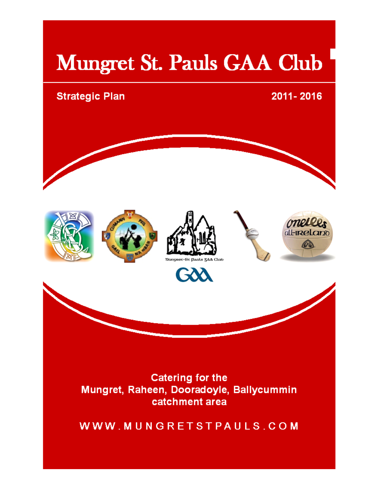## Mungret St. Pauls GAA Club

# **Strategic Plan** 2011-2016 all-ineland Ū **DEDERGE-ST DADLS SAA** GXX **Catering for the** Mungret, Raheen, Dooradoyle, Ballycummin catchment area

WWW.MUNGRETSTPAULS.COM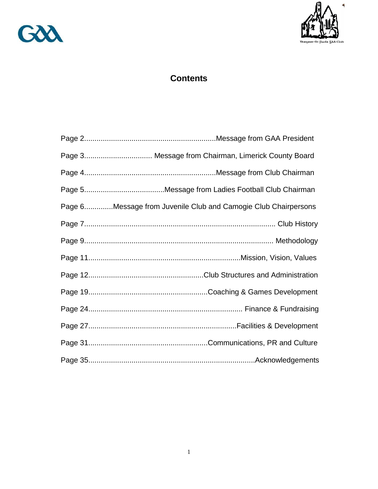



### **Contents**

| Page 6Message from Juvenile Club and Camogie Club Chairpersons |  |
|----------------------------------------------------------------|--|
|                                                                |  |
|                                                                |  |
|                                                                |  |
|                                                                |  |
|                                                                |  |
|                                                                |  |
|                                                                |  |
|                                                                |  |
|                                                                |  |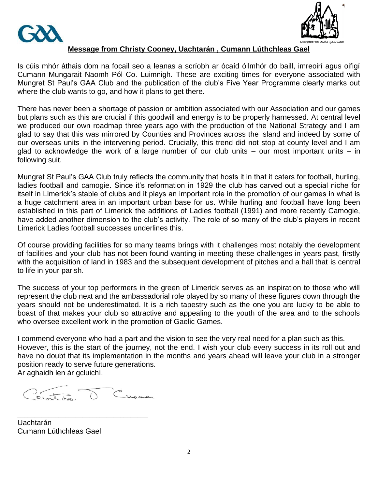



### **Message from Christy Cooney, Uachtarán , Cumann Lúthchleas Gael**

Is cúis mhór áthais dom na focail seo a leanas a scríobh ar ócaíd óllmhór do baill, imreoirí agus oifigí Cumann Mungarait Naomh Pól Co. Luimnigh. These are exciting times for everyone associated with Mungret St Paul's GAA Club and the publication of the club's Five Year Programme clearly marks out where the club wants to go, and how it plans to get there.

There has never been a shortage of passion or ambition associated with our Association and our games but plans such as this are crucial if this goodwill and energy is to be properly harnessed. At central level we produced our own roadmap three years ago with the production of the National Strategy and I am glad to say that this was mirrored by Counties and Provinces across the island and indeed by some of our overseas units in the intervening period. Crucially, this trend did not stop at county level and I am glad to acknowledge the work of a large number of our club units – our most important units – in following suit.

Mungret St Paul"s GAA Club truly reflects the community that hosts it in that it caters for football, hurling, ladies football and camogie. Since it's reformation in 1929 the club has carved out a special niche for itself in Limerick's stable of clubs and it plays an important role in the promotion of our games in what is a huge catchment area in an important urban base for us. While hurling and football have long been established in this part of Limerick the additions of Ladies football (1991) and more recently Camogie, have added another dimension to the club's activity. The role of so many of the club's players in recent Limerick Ladies football successes underlines this.

Of course providing facilities for so many teams brings with it challenges most notably the development of facilities and your club has not been found wanting in meeting these challenges in years past, firstly with the acquisition of land in 1983 and the subsequent development of pitches and a hall that is central to life in your parish.

The success of your top performers in the green of Limerick serves as an inspiration to those who will represent the club next and the ambassadorial role played by so many of these figures down through the years should not be underestimated. It is a rich tapestry such as the one you are lucky to be able to boast of that makes your club so attractive and appealing to the youth of the area and to the schools who oversee excellent work in the promotion of Gaelic Games.

I commend everyone who had a part and the vision to see the very real need for a plan such as this. However, this is the start of the journey, not the end. I wish your club every success in its roll out and have no doubt that its implementation in the months and years ahead will leave your club in a stronger position ready to serve future generations. Ar aghaidh len ár gcluichí,

Cuana

\_\_\_\_\_\_\_\_\_\_\_\_\_\_\_\_\_\_\_\_\_\_\_\_\_\_\_\_\_\_\_\_\_\_\_\_\_\_ Uachtarán Cumann Lúthchleas Gael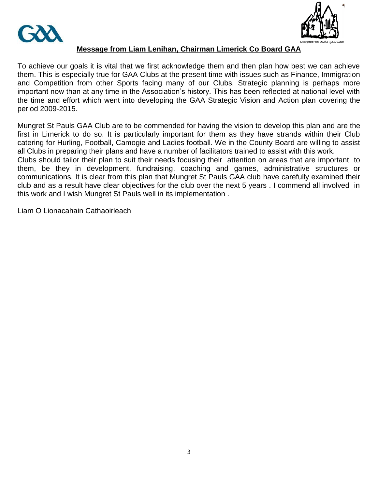



### **Message from Liam Lenihan, Chairman Limerick Co Board GAA**

To achieve our goals it is vital that we first acknowledge them and then plan how best we can achieve them. This is especially true for GAA Clubs at the present time with issues such as Finance, Immigration and Competition from other Sports facing many of our Clubs. Strategic planning is perhaps more important now than at any time in the Association"s history. This has been reflected at national level with the time and effort which went into developing the GAA Strategic Vision and Action plan covering the period 2009-2015.

Mungret St Pauls GAA Club are to be commended for having the vision to develop this plan and are the first in Limerick to do so. It is particularly important for them as they have strands within their Club catering for Hurling, Football, Camogie and Ladies football. We in the County Board are willing to assist all Clubs in preparing their plans and have a number of facilitators trained to assist with this work.

Clubs should tailor their plan to suit their needs focusing their attention on areas that are important to them, be they in development, fundraising, coaching and games, administrative structures or communications. It is clear from this plan that Mungret St Pauls GAA club have carefully examined their club and as a result have clear objectives for the club over the next 5 years . I commend all involved in this work and I wish Mungret St Pauls well in its implementation .

Liam O Lionacahain Cathaoirleach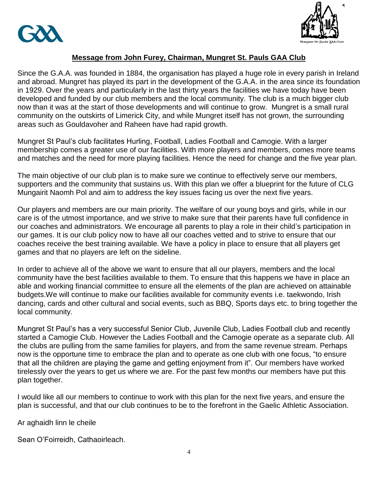



### **Message from John Furey, Chairman, Mungret St. Pauls GAA Club**

Since the G.A.A. was founded in 1884, the organisation has played a huge role in every parish in Ireland and abroad. Mungret has played its part in the development of the G.A.A. in the area since its foundation in 1929. Over the years and particularly in the last thirty years the facilities we have today have been developed and funded by our club members and the local community. The club is a much bigger club now than it was at the start of those developments and will continue to grow. Mungret is a small rural community on the outskirts of Limerick City, and while Mungret itself has not grown, the surrounding areas such as Gouldavoher and Raheen have had rapid growth.

Mungret St Paul"s club facilitates Hurling, Football, Ladies Football and Camogie. With a larger membership comes a greater use of our facilities. With more players and members, comes more teams and matches and the need for more playing facilities. Hence the need for change and the five year plan.

The main objective of our club plan is to make sure we continue to effectively serve our members, supporters and the community that sustains us. With this plan we offer a blueprint for the future of CLG Mungairit Naomh Pol and aim to address the key issues facing us over the next five years.

Our players and members are our main priority. The welfare of our young boys and girls, while in our care is of the utmost importance, and we strive to make sure that their parents have full confidence in our coaches and administrators. We encourage all parents to play a role in their child"s participation in our games. It is our club policy now to have all our coaches vetted and to strive to ensure that our coaches receive the best training available. We have a policy in place to ensure that all players get games and that no players are left on the sideline.

In order to achieve all of the above we want to ensure that all our players, members and the local community have the best facilities available to them. To ensure that this happens we have in place an able and working financial committee to ensure all the elements of the plan are achieved on attainable budgets.We will continue to make our facilities available for community events i.e. taekwondo, Irish dancing, cards and other cultural and social events, such as BBQ, Sports days etc. to bring together the local community.

Mungret St Paul"s has a very successful Senior Club, Juvenile Club, Ladies Football club and recently started a Camogie Club. However the Ladies Football and the Camogie operate as a separate club. All the clubs are pulling from the same families for players, and from the same revenue stream. Perhaps now is the opportune time to embrace the plan and to operate as one club with one focus, "to ensure that all the children are playing the game and getting enjoyment from it". Our members have worked tirelessly over the years to get us where we are. For the past few months our members have put this plan together.

I would like all our members to continue to work with this plan for the next five years, and ensure the plan is successful, and that our club continues to be to the forefront in the Gaelic Athletic Association.

Ar aghaidh linn le cheile

Sean O"Foirreidh, Cathaoirleach.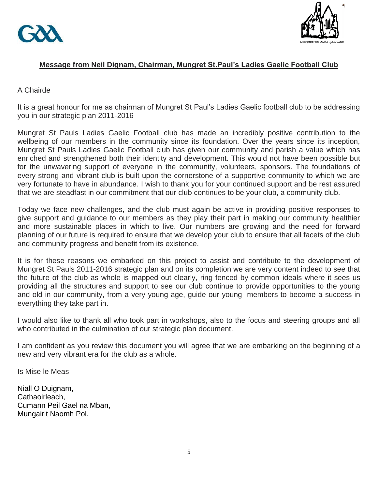



### **Message from Neil Dignam, Chairman, Mungret St.Paul's Ladies Gaelic Football Club**

### A Chairde

It is a great honour for me as chairman of Mungret St Paul"s Ladies Gaelic football club to be addressing you in our strategic plan 2011-2016

Mungret St Pauls Ladies Gaelic Football club has made an incredibly positive contribution to the wellbeing of our members in the community since its foundation. Over the years since its inception, Mungret St Pauls Ladies Gaelic Football club has given our community and parish a value which has enriched and strengthened both their identity and development. This would not have been possible but for the unwavering support of everyone in the community, volunteers, sponsors. The foundations of every strong and vibrant club is built upon the cornerstone of a supportive community to which we are very fortunate to have in abundance. I wish to thank you for your continued support and be rest assured that we are steadfast in our commitment that our club continues to be your club, a community club.

Today we face new challenges, and the club must again be active in providing positive responses to give support and guidance to our members as they play their part in making our community healthier and more sustainable places in which to live. Our numbers are growing and the need for forward planning of our future is required to ensure that we develop your club to ensure that all facets of the club and community progress and benefit from its existence.

It is for these reasons we embarked on this project to assist and contribute to the development of Mungret St Pauls 2011-2016 strategic plan and on its completion we are very content indeed to see that the future of the club as whole is mapped out clearly, ring fenced by common ideals where it sees us providing all the structures and support to see our club continue to provide opportunities to the young and old in our community, from a very young age, guide our young members to become a success in everything they take part in.

I would also like to thank all who took part in workshops, also to the focus and steering groups and all who contributed in the culmination of our strategic plan document.

I am confident as you review this document you will agree that we are embarking on the beginning of a new and very vibrant era for the club as a whole.

Is Mise le Meas

Niall O Duignam, Cathaoirleach, Cumann Peil Gael na Mban, Mungairit Naomh Pol.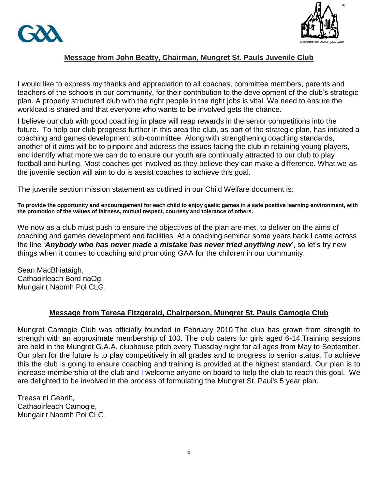



### **Message from John Beatty, Chairman, Mungret St. Pauls Juvenile Club**

I would like to express my thanks and appreciation to all coaches, committee members, parents and teachers of the schools in our community, for their contribution to the development of the club"s strategic plan. A properly structured club with the right people in the right jobs is vital. We need to ensure the workload is shared and that everyone who wants to be involved gets the chance.

I believe our club with good coaching in place will reap rewards in the senior competitions into the future. To help our club progress further in this area the club, as part of the strategic plan, has initiated a coaching and games development sub-committee. Along with strengthening coaching standards, another of it aims will be to pinpoint and address the issues facing the club in retaining young players, and identify what more we can do to ensure our youth are continually attracted to our club to play football and hurling. Most coaches get involved as they believe they can make a difference. What we as the juvenile section will aim to do is assist coaches to achieve this goal.

The juvenile section mission statement as outlined in our Child Welfare document is:

**To provide the opportunity and encouragement for each child to enjoy gaelic games in a safe positive learning environment, with the promotion of the values of fairness, mutual respect, courtesy and tolerance of others.** 

We now as a club must push to ensure the objectives of the plan are met, to deliver on the aims of coaching and games development and facilities. At a coaching seminar some years back I came across the line 'Anybody who has never made a mistake has never tried anything new', so let's try new things when it comes to coaching and promoting GAA for the children in our community.

Sean MacBhiataigh, Cathaoirleach Bord naOg, Mungairit Naomh Pol CLG,

### **Message from Teresa Fitzgerald, Chairperson, Mungret St. Pauls Camogie Club**

Mungret Camogie Club was officially founded in February 2010.The club has grown from strength to strength with an approximate membership of 100. The club caters for girls aged 6-14.Training sessions are held in the Mungret G.A.A. clubhouse pitch every Tuesday night for all ages from May to September. Our plan for the future is to play competitively in all grades and to progress to senior status. To achieve this the club is going to ensure coaching and training is provided at the highest standard. Our plan is to increase membership of the club and I welcome anyone on board to help the club to reach this goal. We are delighted to be involved in the process of formulating the Mungret St. Paul's 5 year plan.

Treasa ni Gearilt, Cathaoirleach Camogie, Mungairit Naomh Pol CLG.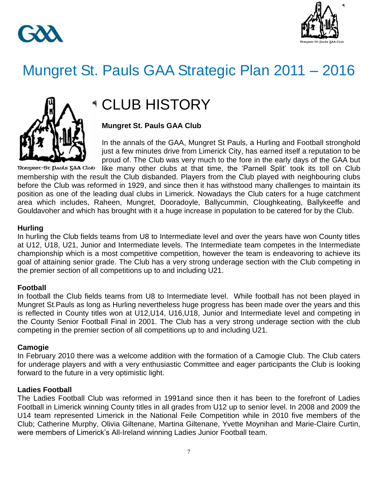



## Mungret St. Pauls GAA Strategic Plan 2011 – 2016



## CLUB HISTORY

### **Mungret St. Pauls GAA Club**

In the annals of the GAA, Mungret St Pauls, a Hurling and Football stronghold just a few minutes drive from Limerick City, has earned itself a reputation to be proud of. The Club was very much to the fore in the early days of the GAA but

Dangrec-St Daals 5AA Clab like many other clubs at that time, the "Parnell Split" took its toll on Club membership with the result the Club disbanded. Players from the Club played with neighbouring clubs before the Club was reformed in 1929, and since then it has withstood many challenges to maintain its position as one of the leading dual clubs in Limerick. Nowadays the Club caters for a huge catchment area which includes, Raheen, Mungret, Dooradoyle, Ballycummin, Cloughkeating, Ballykeeffe and Gouldavoher and which has brought with it a huge increase in population to be catered for by the Club.

### **Hurling**

In hurling the Club fields teams from U8 to Intermediate level and over the years have won County titles at U12, U18, U21, Junior and Intermediate levels. The Intermediate team competes in the Intermediate championship which is a most competitive competition, however the team is endeavoring to achieve its goal of attaining senior grade. The Club has a very strong underage section with the Club competing in the premier section of all competitions up to and including U21.

### **Football**

In football the Club fields teams from U8 to Intermediate level. While football has not been played in Mungret St.Pauls as long as Hurling nevertheless huge progress has been made over the years and this is reflected in County titles won at U12,U14, U16,U18, Junior and Intermediate level and competing in the County Senior Football Final in 2001. The Club has a very strong underage section with the club competing in the premier section of all competitions up to and including U21.

### **Camogie**

In February 2010 there was a welcome addition with the formation of a Camogie Club. The Club caters for underage players and with a very enthusiastic Committee and eager participants the Club is looking forward to the future in a very optimistic light.

### **Ladies Football**

The Ladies Football Club was reformed in 1991and since then it has been to the forefront of Ladies Football in Limerick winning County titles in all grades from U12 up to senior level. In 2008 and 2009 the U14 team represented Limerick in the National Feile Competition while in 2010 five members of the Club; Catherine Murphy, Olivia Giltenane, Martina Giltenane, Yvette Moynihan and Marie-Claire Curtin, were members of Limerick"s All-Ireland winning Ladies Junior Football team.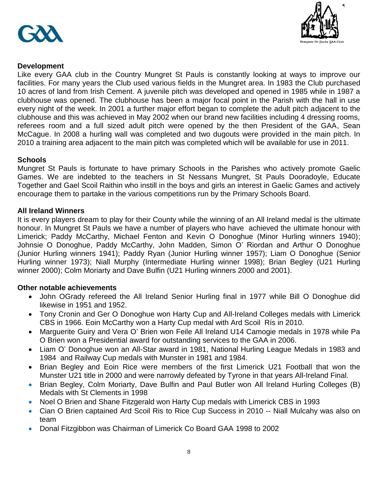



### **Development**

Like every GAA club in the Country Mungret St Pauls is constantly looking at ways to improve our facilities. For many years the Club used various fields in the Mungret area. In 1983 the Club purchased 10 acres of land from Irish Cement. A juvenile pitch was developed and opened in 1985 while in 1987 a clubhouse was opened. The clubhouse has been a major focal point in the Parish with the hall in use every night of the week. In 2001 a further major effort began to complete the adult pitch adjacent to the clubhouse and this was achieved in May 2002 when our brand new facilities including 4 dressing rooms, referees room and a full sized adult pitch were opened by the then President of the GAA, Sean McCague. In 2008 a hurling wall was completed and two dugouts were provided in the main pitch. In 2010 a training area adjacent to the main pitch was completed which will be available for use in 2011.

### **Schools**

Mungret St Pauls is fortunate to have primary Schools in the Parishes who actively promote Gaelic Games. We are indebted to the teachers in St Nessans Mungret, St Pauls Dooradoyle, Educate Together and Gael Scoil Raithin who instill in the boys and girls an interest in Gaelic Games and actively encourage them to partake in the various competitions run by the Primary Schools Board.

### **All Ireland Winners**

It is every players dream to play for their County while the winning of an All Ireland medal is the ultimate honour. In Mungret St Pauls we have a number of players who have achieved the ultimate honour with Limerick; Paddy McCarthy, Michael Fenton and Kevin O Donoghue (Minor Hurling winners 1940); Johnsie O Donoghue, Paddy McCarthy, John Madden, Simon O" Riordan and Arthur O Donoghue (Junior Hurling winners 1941); Paddy Ryan (Junior Hurling winner 1957); Liam O Donoghue (Senior Hurling winner 1973); Niall Murphy (Intermediate Hurling winner 1998); Brian Begley (U21 Hurling winner 2000); Colm Moriarty and Dave Bulfin (U21 Hurling winners 2000 and 2001).

### **Other notable achievements**

- John OGrady refereed the All Ireland Senior Hurling final in 1977 while Bill O Donoghue did likewise in 1951 and 1952.
- Tony Cronin and Ger O Donoghue won Harty Cup and All-Ireland Colleges medals with Limerick CBS in 1966. Eoin McCarthy won a Harty Cup medal with Ard Scoil Rís in 2010.
- Marguerite Guiry and Vera O" Brien won Feile All Ireland U14 Camogie medals in 1978 while Pa O Brien won a Presidential award for outstanding services to the GAA in 2006.
- Liam O" Donoghue won an All-Star award in 1981, National Hurling League Medals in 1983 and 1984 and Railway Cup medals with Munster in 1981 and 1984.
- Brian Begley and Eoin Rice were members of the first Limerick U21 Football that won the Munster U21 title in 2000 and were narrowly defeated by Tyrone in that years All-Ireland Final.
- Brian Begley, Colm Moriarty, Dave Bulfin and Paul Butler won All Ireland Hurling Colleges (B) Medals with St Clements in 1998
- Noel O Brien and Shane Fitzgerald won Harty Cup medals with Limerick CBS in 1993
- Cian O Brien captained Ard Scoil Ris to Rice Cup Success in 2010 -- Niall Mulcahy was also on team
- Donal Fitzgibbon was Chairman of Limerick Co Board GAA 1998 to 2002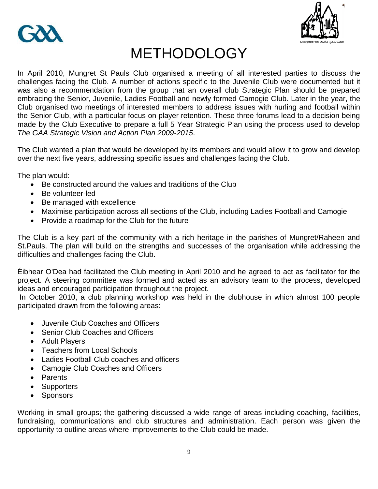



## **METHODOLOGY**

In April 2010, Mungret St Pauls Club organised a meeting of all interested parties to discuss the challenges facing the Club. A number of actions specific to the Juvenile Club were documented but it was also a recommendation from the group that an overall club Strategic Plan should be prepared embracing the Senior, Juvenile, Ladies Football and newly formed Camogie Club. Later in the year, the Club organised two meetings of interested members to address issues with hurling and football within the Senior Club, with a particular focus on player retention. These three forums lead to a decision being made by the Club Executive to prepare a full 5 Year Strategic Plan using the process used to develop *The GAA Strategic Vision and Action Plan 2009-2015*.

The Club wanted a plan that would be developed by its members and would allow it to grow and develop over the next five years, addressing specific issues and challenges facing the Club.

The plan would:

- Be constructed around the values and traditions of the Club
- Be volunteer-led
- Be managed with excellence
- Maximise participation across all sections of the Club, including Ladies Football and Camogie
- Provide a roadmap for the Club for the future

The Club is a key part of the community with a rich heritage in the parishes of Mungret/Raheen and St.Pauls. The plan will build on the strengths and successes of the organisation while addressing the difficulties and challenges facing the Club.

Éibhear O'Dea had facilitated the Club meeting in April 2010 and he agreed to act as facilitator for the project. A steering committee was formed and acted as an advisory team to the process, developed ideas and encouraged participation throughout the project.

In October 2010, a club planning workshop was held in the clubhouse in which almost 100 people participated drawn from the following areas:

- Juvenile Club Coaches and Officers
- Senior Club Coaches and Officers
- Adult Players
- Teachers from Local Schools
- Ladies Football Club coaches and officers
- Camogie Club Coaches and Officers
- Parents
- Supporters
- Sponsors

Working in small groups; the gathering discussed a wide range of areas including coaching, facilities, fundraising, communications and club structures and administration. Each person was given the opportunity to outline areas where improvements to the Club could be made.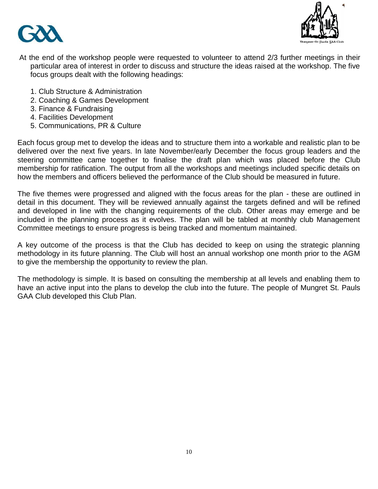



- At the end of the workshop people were requested to volunteer to attend 2/3 further meetings in their particular area of interest in order to discuss and structure the ideas raised at the workshop. The five focus groups dealt with the following headings:
	- 1. Club Structure & Administration
	- 2. Coaching & Games Development
	- 3. Finance & Fundraising
	- 4. Facilities Development
	- 5. Communications, PR & Culture

Each focus group met to develop the ideas and to structure them into a workable and realistic plan to be delivered over the next five years. In late November/early December the focus group leaders and the steering committee came together to finalise the draft plan which was placed before the Club membership for ratification. The output from all the workshops and meetings included specific details on how the members and officers believed the performance of the Club should be measured in future.

The five themes were progressed and aligned with the focus areas for the plan - these are outlined in detail in this document. They will be reviewed annually against the targets defined and will be refined and developed in line with the changing requirements of the club. Other areas may emerge and be included in the planning process as it evolves. The plan will be tabled at monthly club Management Committee meetings to ensure progress is being tracked and momentum maintained.

A key outcome of the process is that the Club has decided to keep on using the strategic planning methodology in its future planning. The Club will host an annual workshop one month prior to the AGM to give the membership the opportunity to review the plan.

The methodology is simple. It is based on consulting the membership at all levels and enabling them to have an active input into the plans to develop the club into the future. The people of Mungret St. Pauls GAA Club developed this Club Plan.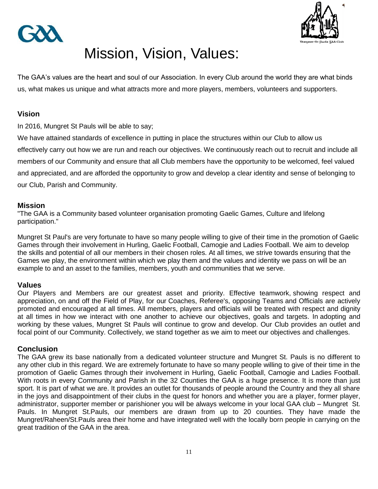



## Mission, Vision, Values:

The GAA"s values are the heart and soul of our Association. In every Club around the world they are what binds us, what makes us unique and what attracts more and more players, members, volunteers and supporters.

### **Vision**

In 2016, Mungret St Pauls will be able to say;

We have attained standards of excellence in putting in place the structures within our Club to allow us effectively carry out how we are run and reach our objectives. We continuously reach out to recruit and include all members of our Community and ensure that all Club members have the opportunity to be welcomed, feel valued and appreciated, and are afforded the opportunity to grow and develop a clear identity and sense of belonging to our Club, Parish and Community.

### **Mission**

"The GAA is a Community based volunteer organisation promoting Gaelic Games, Culture and lifelong participation."

Mungret St Paul's are very fortunate to have so many people willing to give of their time in the promotion of Gaelic Games through their involvement in Hurling, Gaelic Football, Camogie and Ladies Football. We aim to develop the skills and potential of all our members in their chosen roles. At all times, we strive towards ensuring that the Games we play, the environment within which we play them and the values and identity we pass on will be an example to and an asset to the families, members, youth and communities that we serve.

### **Values**

Our Players and Members are our greatest asset and priority. Effective teamwork, showing respect and appreciation, on and off the Field of Play, for our Coaches, Referee's, opposing Teams and Officials are actively promoted and encouraged at all times. All members, players and officials will be treated with respect and dignity at all times in how we interact with one another to achieve our objectives, goals and targets. In adopting and working by these values, Mungret St Pauls will continue to grow and develop. Our Club provides an outlet and focal point of our Community. Collectively, we stand together as we aim to meet our objectives and challenges.

### **Conclusion**

The GAA grew its base nationally from a dedicated volunteer structure and Mungret St. Pauls is no different to any other club in this regard. We are extremely fortunate to have so many people willing to give of their time in the promotion of Gaelic Games through their involvement in Hurling, Gaelic Football, Camogie and Ladies Football. With roots in every Community and Parish in the 32 Counties the GAA is a huge presence. It is more than just sport. It is part of what we are. It provides an outlet for thousands of people around the Country and they all share in the joys and disappointment of their clubs in the quest for honors and whether you are a player, former player, administrator, supporter member or parishioner you will be always welcome in your local GAA club – Mungret St. Pauls. In Mungret St.Pauls, our members are drawn from up to 20 counties. They have made the Mungret/Raheen/St.Pauls area their home and have integrated well with the locally born people in carrying on the great tradition of the GAA in the area.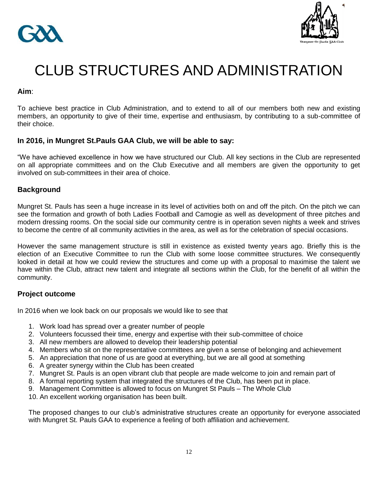



## CLUB STRUCTURES AND ADMINISTRATION

### **Aim**:

To achieve best practice in Club Administration, and to extend to all of our members both new and existing members, an opportunity to give of their time, expertise and enthusiasm, by contributing to a sub-committee of their choice.

### **In 2016, in Mungret St.Pauls GAA Club, we will be able to say:**

"We have achieved excellence in how we have structured our Club. All key sections in the Club are represented on all appropriate committees and on the Club Executive and all members are given the opportunity to get involved on sub-committees in their area of choice.

### **Background**

Mungret St. Pauls has seen a huge increase in its level of activities both on and off the pitch. On the pitch we can see the formation and growth of both Ladies Football and Camogie as well as development of three pitches and modern dressing rooms. On the social side our community centre is in operation seven nights a week and strives to become the centre of all community activities in the area, as well as for the celebration of special occasions.

However the same management structure is still in existence as existed twenty years ago. Briefly this is the election of an Executive Committee to run the Club with some loose committee structures. We consequently looked in detail at how we could review the structures and come up with a proposal to maximise the talent we have within the Club, attract new talent and integrate all sections within the Club, for the benefit of all within the community.

### **Project outcome**

In 2016 when we look back on our proposals we would like to see that

- 1. Work load has spread over a greater number of people
- 2. Volunteers focussed their time, energy and expertise with their sub-committee of choice
- 3. All new members are allowed to develop their leadership potential
- 4. Members who sit on the representative committees are given a sense of belonging and achievement
- 5. An appreciation that none of us are good at everything, but we are all good at something
- 6. A greater synergy within the Club has been created
- 7. Mungret St. Pauls is an open vibrant club that people are made welcome to join and remain part of
- 8. A formal reporting system that integrated the structures of the Club, has been put in place.
- 9. Management Committee is allowed to focus on Mungret St Pauls The Whole Club
- 10. An excellent working organisation has been built.

The proposed changes to our club"s administrative structures create an opportunity for everyone associated with Mungret St. Pauls GAA to experience a feeling of both affiliation and achievement.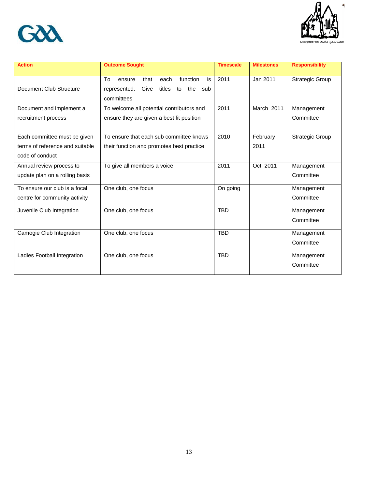



ds 5AA Club

| <b>Action</b>                                                                      | <b>Outcome Sought</b>                                                                                              | <b>Timescale</b> | <b>Milestones</b> | <b>Responsibility</b>   |
|------------------------------------------------------------------------------------|--------------------------------------------------------------------------------------------------------------------|------------------|-------------------|-------------------------|
| Document Club Structure                                                            | function<br>To<br>is<br>ensure<br>that<br>each<br>Give<br>titles<br>the<br>represented.<br>to<br>sub<br>committees | 2011             | Jan 2011          | <b>Strategic Group</b>  |
| Document and implement a<br>recruitment process                                    | To welcome all potential contributors and<br>ensure they are given a best fit position                             | 2011             | March 2011        | Management<br>Committee |
| Each committee must be given<br>terms of reference and suitable<br>code of conduct | To ensure that each sub committee knows<br>their function and promotes best practice                               | 2010             | February<br>2011  | <b>Strategic Group</b>  |
| Annual review process to<br>update plan on a rolling basis                         | To give all members a voice                                                                                        | 2011             | Oct 2011          | Management<br>Committee |
| To ensure our club is a focal<br>centre for community activity                     | One club, one focus                                                                                                | On going         |                   | Management<br>Committee |
| Juvenile Club Integration                                                          | One club, one focus                                                                                                | <b>TBD</b>       |                   | Management<br>Committee |
| Camogie Club Integration                                                           | One club, one focus                                                                                                | <b>TBD</b>       |                   | Management<br>Committee |
| Ladies Football Integration                                                        | One club, one focus                                                                                                | <b>TBD</b>       |                   | Management<br>Committee |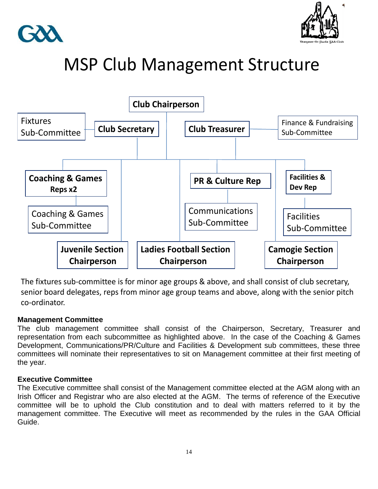



## MSP Club Management Structure



The fixtures sub-committee is for minor age groups & above, and shall consist of club secretary, senior board delegates, reps from minor age group teams and above, along with the senior pitch co-ordinator.

#### The fixtures sub-committee will consist of the club secretary and board delegates. **Management Committee**

The club management committee shall consist of the Chairperson, Secretary, Treasurer and representation from each subcommittee as highlighted above. In the case of the Coaching & Games Development, Communications/PR/Culture and Facilities & Development sub committees, these three committees will nominate their representatives to sit on Management committee at their first meeting of the year.

### **Executive Committee**

The Executive committee shall consist of the Management committee elected at the AGM along with an Irish Officer and Registrar who are also elected at the AGM. The terms of reference of the Executive committee will be to uphold the Club constitution and to deal with matters referred to it by the management committee. The Executive will meet as recommended by the rules in the GAA Official Guide.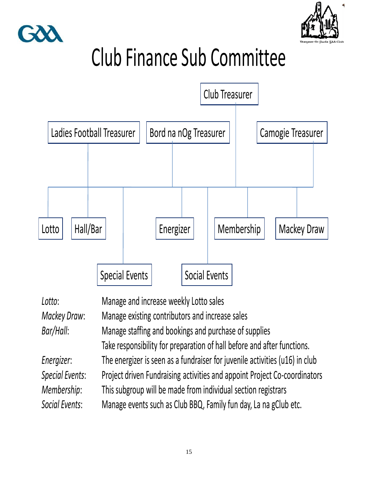



Club Finance Sub Committee



| Lotto:                                                             | Manage and increase weekly Lotto sales                                      |  |  |  |
|--------------------------------------------------------------------|-----------------------------------------------------------------------------|--|--|--|
| Mackey Draw:                                                       | Manage existing contributors and increase sales                             |  |  |  |
| Bar/Hall:<br>Manage staffing and bookings and purchase of supplies |                                                                             |  |  |  |
|                                                                    | Take responsibility for preparation of hall before and after functions.     |  |  |  |
| Energizer:                                                         | The energizer is seen as a fundraiser for juvenile activities (u16) in club |  |  |  |
| <b>Special Events:</b>                                             | Project driven Fundraising activities and appoint Project Co-coordinators   |  |  |  |
| Membership:                                                        | This subgroup will be made from individual section registrars               |  |  |  |
| Social Events:                                                     | Manage events such as Club BBQ, Family fun day, La na gClub etc.            |  |  |  |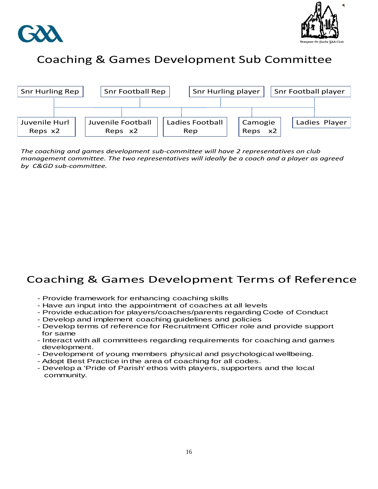



### Coaching & Games Development Sub Committee



*The coaching and games development sub-committee will have 2 representatives on club management committee. The two representatives will ideally be a coach and a player as agreed by C&GD sub-committee.*

### Coaching & Games Development Terms of Reference

- Provide framework for enhancing coaching skills
- Have an input into the appointment of coaches at all levels
- Provide education for players/coaches/parents regarding Code of Conduct
- Develop and implement coaching guidelines and policies
- Develop terms of reference for Recruitment Officer role and provide support for same
- Interact with all committees regarding requirements for coaching and games development.
- Development of young members physical and psychological wellbeing.
- Adopt Best Practice in the area of coaching for all codes.
- Develop a 'Pride of Parish' ethos with players, supporters and the local community.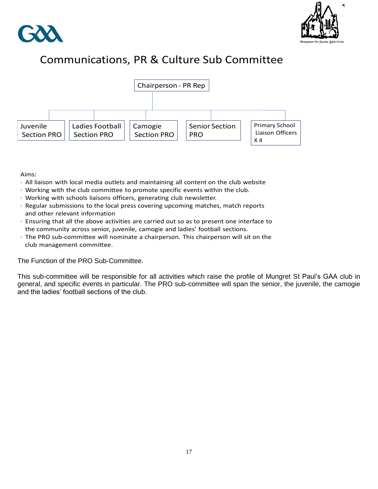



### Communications, PR & Culture Sub Committee



Aims:

- · All liaison with local media outlets and maintaining all content on the club website
- · Working with the club committee to promote specific events within the club.
- · Working with schools liaisons officers, generating club newsletter.
- · Regular submissions to the local press covering upcoming matches, match reports and other relevant information
- · Ensuring that all the above activities are carried out so as to present one interface to the community across senior, juvenile, camogie and ladies' football sections.
- · The PRO sub-committee will nominate a chairperson. This chairperson will sit on the club management committee.

The Function of the PRO Sub-Committee.

This sub-committee will be responsible for all activities which raise the profile of Mungret St Paul"s GAA club in general, and specific events in particular. The PRO sub-committee will span the senior, the juvenile, the camogie and the ladies" football sections of the club.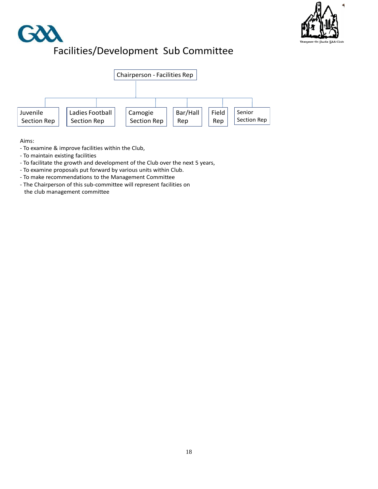

## Facilities/Development Sub Committee



Aims:

- To examine & improve facilities within the Club,
- To maintain existing facilities
- To facilitate the growth and development of the Club over the next 5 years,
- To examine proposals put forward by various units within Club.
- To make recommendations to the Management Committee
- The Chairperson of this sub-committee will represent facilities on the club management committee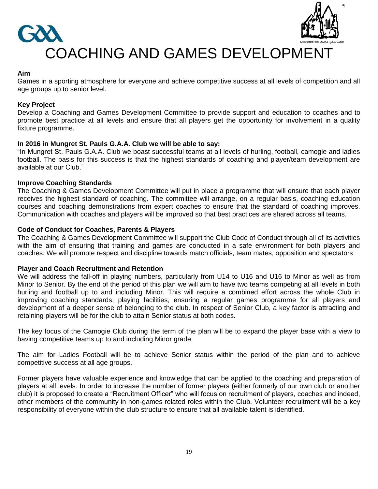

### **Aim**

Games in a sporting atmosphere for everyone and achieve competitive success at all levels of competition and all age groups up to senior level.

### **Key Project**

Develop a Coaching and Games Development Committee to provide support and education to coaches and to promote best practice at all levels and ensure that all players get the opportunity for involvement in a quality fixture programme.

### **In 2016 in Mungret St. Pauls G.A.A. Club we will be able to say:**

"In Mungret St. Pauls G.A.A. Club we boast successful teams at all levels of hurling, football, camogie and ladies football. The basis for this success is that the highest standards of coaching and player/team development are available at our Club."

#### **Improve Coaching Standards**

The Coaching & Games Development Committee will put in place a programme that will ensure that each player receives the highest standard of coaching. The committee will arrange, on a regular basis, coaching education courses and coaching demonstrations from expert coaches to ensure that the standard of coaching improves. Communication with coaches and players will be improved so that best practices are shared across all teams.

#### **Code of Conduct for Coaches, Parents & Players**

The Coaching & Games Development Committee will support the Club Code of Conduct through all of its activities with the aim of ensuring that training and games are conducted in a safe environment for both players and coaches. We will promote respect and discipline towards match officials, team mates, opposition and spectators

#### **Player and Coach Recruitment and Retention**

We will address the fall-off in playing numbers, particularly from U14 to U16 and U16 to Minor as well as from Minor to Senior. By the end of the period of this plan we will aim to have two teams competing at all levels in both hurling and football up to and including Minor. This will require a combined effort across the whole Club in improving coaching standards, playing facilities, ensuring a regular games programme for all players and development of a deeper sense of belonging to the club. In respect of Senior Club, a key factor is attracting and retaining players will be for the club to attain Senior status at both codes.

The key focus of the Camogie Club during the term of the plan will be to expand the player base with a view to having competitive teams up to and including Minor grade.

The aim for Ladies Football will be to achieve Senior status within the period of the plan and to achieve competitive success at all age groups.

Former players have valuable experience and knowledge that can be applied to the coaching and preparation of players at all levels. In order to increase the number of former players (either formerly of our own club or another club) it is proposed to create a "Recruitment Officer" who will focus on recruitment of players, coaches and indeed, other members of the community in non-games related roles within the Club. Volunteer recruitment will be a key responsibility of everyone within the club structure to ensure that all available talent is identified.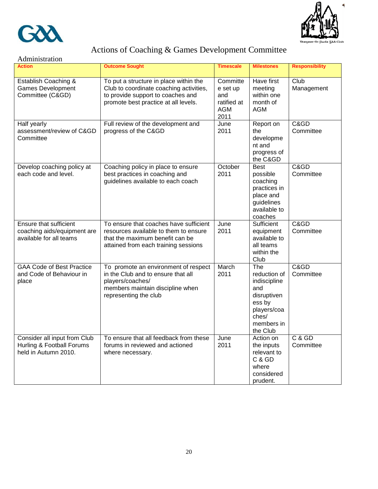



### Actions of Coaching & Games Development Committee

| Administration                                                                    |                                                                                                                                                                |                                                                  |                                                                                                                       |                       |  |
|-----------------------------------------------------------------------------------|----------------------------------------------------------------------------------------------------------------------------------------------------------------|------------------------------------------------------------------|-----------------------------------------------------------------------------------------------------------------------|-----------------------|--|
| <b>Action</b>                                                                     | <b>Outcome Sought</b>                                                                                                                                          | <b>Timescale</b>                                                 | <b>Milestones</b>                                                                                                     | <b>Responsibility</b> |  |
| Establish Coaching &<br><b>Games Development</b><br>Committee (C&GD)              | To put a structure in place within the<br>Club to coordinate coaching activities,<br>to provide support to coaches and<br>promote best practice at all levels. | Committe<br>e set up<br>and<br>ratified at<br><b>AGM</b><br>2011 | Have first<br>meeting<br>within one<br>month of<br><b>AGM</b>                                                         | Club<br>Management    |  |
| Half yearly<br>assessment/review of C&GD<br>Committee                             | Full review of the development and<br>progress of the C&GD                                                                                                     | June<br>2011                                                     | Report on<br>the<br>developme<br>nt and<br>progress of<br>the C&GD                                                    | C&GD<br>Committee     |  |
| Develop coaching policy at<br>each code and level.                                | Coaching policy in place to ensure<br>best practices in coaching and<br>guidelines available to each coach                                                     | October<br>2011                                                  | <b>Best</b><br>possible<br>coaching<br>practices in<br>place and<br>guidelines<br>available to<br>coaches             | C&GD<br>Committee     |  |
| Ensure that sufficient<br>coaching aids/equipment are<br>available for all teams  | To ensure that coaches have sufficient<br>resources available to them to ensure<br>that the maximum benefit can be<br>attained from each training sessions     | June<br>2011                                                     | Sufficient<br>equipment<br>available to<br>all teams<br>within the<br>Club                                            | C&GD<br>Committee     |  |
| <b>GAA Code of Best Practice</b><br>and Code of Behaviour in<br>place             | To promote an environment of respect<br>in the Club and to ensure that all<br>players/coaches/<br>members maintain discipline when<br>representing the club    | March<br>2011                                                    | The<br>reduction of<br>indiscipline<br>and<br>disruptiven<br>ess by<br>players/coa<br>ches/<br>members in<br>the Club | C&GD<br>Committee     |  |
| Consider all input from Club<br>Hurling & Football Forums<br>held in Autumn 2010. | To ensure that all feedback from these<br>forums in reviewed and actioned<br>where necessary.                                                                  | June<br>2011                                                     | Action on<br>the inputs<br>relevant to<br>C & GD<br>where<br>considered<br>prudent.                                   | C & GD<br>Committee   |  |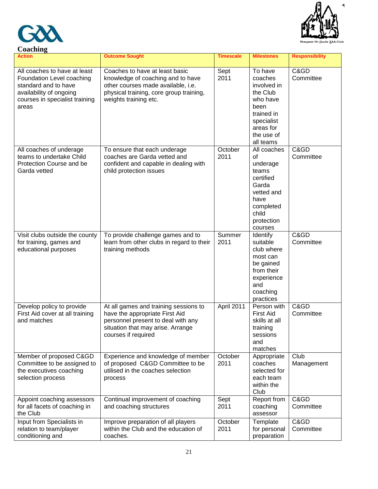| Coaching |
|----------|



| Action                                                                                                                                                  | <b>Outcome Sought</b>                                                                                                                                                         | <b>Timescale</b> | <b>Milestones</b>                                                                                                                     | <b>Responsibility</b> |
|---------------------------------------------------------------------------------------------------------------------------------------------------------|-------------------------------------------------------------------------------------------------------------------------------------------------------------------------------|------------------|---------------------------------------------------------------------------------------------------------------------------------------|-----------------------|
| All coaches to have at least<br>Foundation Level coaching<br>standard and to have<br>availability of ongoing<br>courses in specialist training<br>areas | Coaches to have at least basic<br>knowledge of coaching and to have<br>other courses made available, i.e.<br>physical training, core group training,<br>weights training etc. | Sept<br>2011     | To have<br>coaches<br>involved in<br>the Club<br>who have<br>been<br>trained in<br>specialist<br>areas for<br>the use of<br>all teams | C&GD<br>Committee     |
| All coaches of underage<br>teams to undertake Child<br>Protection Course and be<br>Garda vetted                                                         | To ensure that each underage<br>coaches are Garda vetted and<br>confident and capable in dealing with<br>child protection issues                                              | October<br>2011  | All coaches<br>οf<br>underage<br>teams<br>certified<br>Garda<br>vetted and<br>have<br>completed<br>child<br>protection<br>courses     | C&GD<br>Committee     |
| Visit clubs outside the county<br>for training, games and<br>educational purposes                                                                       | To provide challenge games and to<br>learn from other clubs in regard to their<br>training methods                                                                            | Summer<br>2011   | Identify<br>suitable<br>club where<br>most can<br>be gained<br>from their<br>experience<br>and<br>coaching<br>practices               | C&GD<br>Committee     |
| Develop policy to provide<br>First Aid cover at all training<br>and matches                                                                             | At all games and training sessions to<br>have the appropriate First Aid<br>personnel present to deal with any<br>situation that may arise. Arrange<br>courses if required     | April 2011       | Person with<br><b>First Aid</b><br>skills at all<br>training<br>sessions<br>and<br>matches                                            | C&GD<br>Committee     |
| Member of proposed C&GD<br>Committee to be assigned to<br>the executives coaching<br>selection process                                                  | Experience and knowledge of member<br>of proposed C&GD Committee to be<br>utilised in the coaches selection<br>process                                                        | October<br>2011  | Appropriate<br>coaches<br>selected for<br>each team<br>within the<br>Club                                                             | Club<br>Management    |
| Appoint coaching assessors<br>for all facets of coaching in<br>the Club                                                                                 | Continual improvement of coaching<br>and coaching structures                                                                                                                  | Sept<br>2011     | Report from<br>coaching<br>assessor                                                                                                   | C&GD<br>Committee     |
| Input from Specialists in<br>relation to team/player<br>conditioning and                                                                                | Improve preparation of all players<br>within the Club and the education of<br>coaches.                                                                                        | October<br>2011  | Template<br>for personal<br>preparation                                                                                               | C&GD<br>Committee     |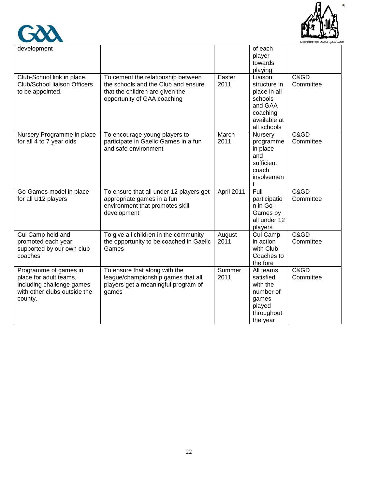



| development                                                                                                             |                                                                                                                                             |                | of each<br>player<br>towards<br>playing                                                                  |                   |
|-------------------------------------------------------------------------------------------------------------------------|---------------------------------------------------------------------------------------------------------------------------------------------|----------------|----------------------------------------------------------------------------------------------------------|-------------------|
| Club-School link in place.<br>Club/School liaison Officers<br>to be appointed.                                          | To cement the relationship between<br>the schools and the Club and ensure<br>that the children are given the<br>opportunity of GAA coaching | Easter<br>2011 | Liaison<br>structure in<br>place in all<br>schools<br>and GAA<br>coaching<br>available at<br>all schools | C&GD<br>Committee |
| Nursery Programme in place<br>for all 4 to 7 year olds                                                                  | To encourage young players to<br>participate in Gaelic Games in a fun<br>and safe environment                                               | March<br>2011  | Nursery<br>programme<br>in place<br>and<br>sufficient<br>coach<br>involvemen<br>t                        | C&GD<br>Committee |
| Go-Games model in place<br>for all U12 players                                                                          | To ensure that all under 12 players get<br>appropriate games in a fun<br>environment that promotes skill<br>development                     | April 2011     | Full<br>participatio<br>n in Go-<br>Games by<br>all under 12<br>players                                  | C&GD<br>Committee |
| Cul Camp held and<br>promoted each year<br>supported by our own club<br>coaches                                         | To give all children in the community<br>the opportunity to be coached in Gaelic<br>Games                                                   | August<br>2011 | Cul Camp<br>in action<br>with Club<br>Coaches to<br>the fore                                             | C&GD<br>Committee |
| Programme of games in<br>place for adult teams,<br>including challenge games<br>with other clubs outside the<br>county. | To ensure that along with the<br>league/championship games that all<br>players get a meaningful program of<br>games                         | Summer<br>2011 | All teams<br>satisfied<br>with the<br>number of<br>games<br>played<br>throughout<br>the year             | C&GD<br>Committee |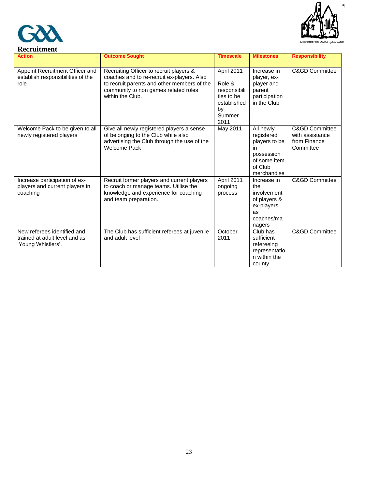



| ncei uninchi                                                                       |                                                                                                                                                                                                  |                                                                                           |                                                                                                        |                                                                |
|------------------------------------------------------------------------------------|--------------------------------------------------------------------------------------------------------------------------------------------------------------------------------------------------|-------------------------------------------------------------------------------------------|--------------------------------------------------------------------------------------------------------|----------------------------------------------------------------|
| <b>Action</b>                                                                      | <b>Outcome Sought</b>                                                                                                                                                                            | <b>Timescale</b>                                                                          | <b>Milestones</b>                                                                                      | <b>Responsibility</b>                                          |
| Appoint Recruitment Officer and<br>establish responsibilities of the<br>role       | Recruiting Officer to recruit players &<br>coaches and to re-recruit ex-players. Also<br>to recruit parents and other members of the<br>community to non games related roles<br>within the Club. | April 2011<br>Role &<br>responsibili<br>ties to be<br>established<br>by<br>Summer<br>2011 | Increase in<br>player, ex-<br>player and<br>parent<br>participation<br>in the Club                     | <b>C&amp;GD Committee</b>                                      |
| Welcome Pack to be given to all<br>newly registered players                        | Give all newly registered players a sense<br>of belonging to the Club while also<br>advertising the Club through the use of the<br>Welcome Pack                                                  | May 2011                                                                                  | All newly<br>registered<br>players to be<br>in<br>possession<br>of some item<br>of Club<br>merchandise | C&GD Committee<br>with assistance<br>from Finance<br>Committee |
| Increase participation of ex-<br>players and current players in<br>coaching        | Recruit former players and current players<br>to coach or manage teams. Utilise the<br>knowledge and experience for coaching<br>and team preparation.                                            | April 2011<br>ongoing<br>process                                                          | Increase in<br>the<br>involvement<br>of players &<br>ex-players<br>as<br>coaches/ma<br>nagers          | <b>C&amp;GD Committee</b>                                      |
| New referees identified and<br>trained at adult level and as<br>'Young Whistlers'. | The Club has sufficient referees at juvenile<br>and adult level                                                                                                                                  | October<br>2011                                                                           | Club has<br>sufficient<br>refereeing<br>representatio<br>n within the<br>county                        | <b>C&amp;GD Committee</b>                                      |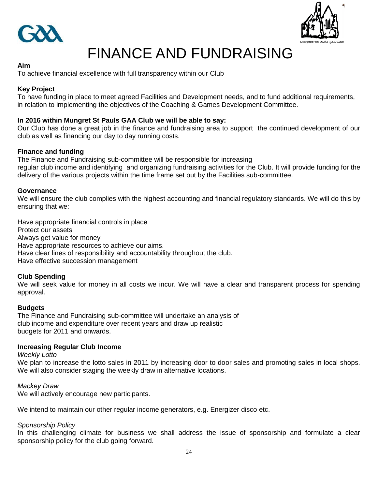



## FINANCE AND FUNDRAISING

### **Aim**

To achieve financial excellence with full transparency within our Club

### **Key Project**

To have funding in place to meet agreed Facilities and Development needs, and to fund additional requirements, in relation to implementing the objectives of the Coaching & Games Development Committee.

### **In 2016 within Mungret St Pauls GAA Club we will be able to say:**

Our Club has done a great job in the finance and fundraising area to support the continued development of our club as well as financing our day to day running costs.

### **Finance and funding**

The Finance and Fundraising sub-committee will be responsible for increasing regular club income and identifying and organizing fundraising activities for the Club. It will provide funding for the delivery of the various projects within the time frame set out by the Facilities sub-committee.

### **Governance**

We will ensure the club complies with the highest accounting and financial regulatory standards. We will do this by ensuring that we:

Have appropriate financial controls in place Protect our assets Always get value for money Have appropriate resources to achieve our aims. Have clear lines of responsibility and accountability throughout the club. Have effective succession management

### **Club Spending**

We will seek value for money in all costs we incur. We will have a clear and transparent process for spending approval.

### **Budgets**

The Finance and Fundraising sub-committee will undertake an analysis of club income and expenditure over recent years and draw up realistic budgets for 2011 and onwards.

### **Increasing Regular Club Income**

### *Weekly Lotto*

We plan to increase the lotto sales in 2011 by increasing door to door sales and promoting sales in local shops. We will also consider staging the weekly draw in alternative locations.

### *Mackey Draw*

We will actively encourage new participants.

We intend to maintain our other regular income generators, e.g. Energizer disco etc.

### *Sponsorship Policy*

In this challenging climate for business we shall address the issue of sponsorship and formulate a clear sponsorship policy for the club going forward.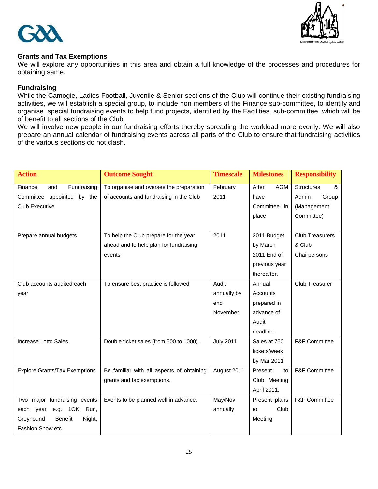



### **Grants and Tax Exemptions**

We will explore any opportunities in this area and obtain a full knowledge of the processes and procedures for obtaining same.

### **Fundraising**

While the Camogie, Ladies Football, Juvenile & Senior sections of the Club will continue their existing fundraising activities, we will establish a special group, to include non members of the Finance sub-committee, to identify and organise special fundraising events to help fund projects, identified by the Facilities sub-committee, which will be of benefit to all sections of the Club.

We will involve new people in our fundraising efforts thereby spreading the workload more evenly. We will also prepare an annual calendar of fundraising events across all parts of the Club to ensure that fundraising activities of the various sections do not clash.

| <b>Action</b>                         | <b>Outcome Sought</b>                     | <b>Timescale</b> | <b>Milestones</b> | <b>Responsibility</b>    |
|---------------------------------------|-------------------------------------------|------------------|-------------------|--------------------------|
| Fundraising<br>Finance<br>and         | To organise and oversee the preparation   | February         | After<br>AGM      | <b>Structures</b><br>&   |
| Committee appointed by the            | of accounts and fundraising in the Club   | 2011             | have              | Admin<br>Group           |
| <b>Club Executive</b>                 |                                           |                  | Committee in      | (Management              |
|                                       |                                           |                  | place             | Committee)               |
|                                       |                                           |                  |                   |                          |
| Prepare annual budgets.               | To help the Club prepare for the year     | 2011             | 2011 Budget       | <b>Club Treasurers</b>   |
|                                       | ahead and to help plan for fundraising    |                  | by March          | & Club                   |
|                                       | events                                    |                  | 2011.End of       | Chairpersons             |
|                                       |                                           |                  | previous year     |                          |
|                                       |                                           |                  | thereafter.       |                          |
| Club accounts audited each            | To ensure best practice is followed       | Audit            | Annual            | Club Treasurer           |
| year                                  |                                           | annually by      | Accounts          |                          |
|                                       |                                           | end              | prepared in       |                          |
|                                       |                                           | November         | advance of        |                          |
|                                       |                                           |                  | Audit             |                          |
|                                       |                                           |                  | deadline.         |                          |
| Increase Lotto Sales                  | Double ticket sales (from 500 to 1000).   | <b>July 2011</b> |                   | F&F Committee            |
|                                       |                                           |                  | tickets/week      |                          |
|                                       |                                           |                  | by Mar 2011       |                          |
| <b>Explore Grants/Tax Exemptions</b>  | Be familiar with all aspects of obtaining | August 2011      | Present<br>to     | <b>F&amp;F Committee</b> |
|                                       | grants and tax exemptions.                |                  | Club Meeting      |                          |
|                                       |                                           |                  | April 2011.       |                          |
| Two major fundraising events          | Events to be planned well in advance.     | May/Nov          | Present plans     | <b>F&amp;F Committee</b> |
| e.g. 10K Run,<br>each year            |                                           | annually         | Club<br>to        |                          |
| Greyhound<br><b>Benefit</b><br>Night, |                                           |                  | Meeting           |                          |
| Fashion Show etc.                     |                                           |                  |                   |                          |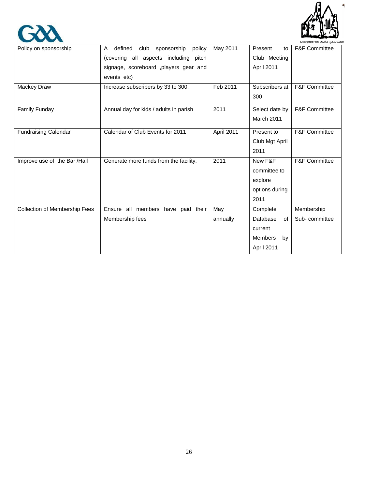

٩



|                               |                                               |            |                      | DUDSROT-ST DAUG SAA CUM  |
|-------------------------------|-----------------------------------------------|------------|----------------------|--------------------------|
| Policy on sponsorship         | defined<br>sponsorship<br>policy<br>A<br>club | May 2011   | Present<br>to        | <b>F&amp;F Committee</b> |
|                               | (covering all aspects including pitch         |            | Club Meeting         |                          |
|                               | signage, scoreboard ,players gear and         |            | April 2011           |                          |
|                               | events etc)                                   |            |                      |                          |
| Mackey Draw                   | Increase subscribers by 33 to 300.            | Feb 2011   | Subscribers at       | <b>F&amp;F Committee</b> |
|                               |                                               |            | 300                  |                          |
| Family Funday                 | Annual day for kids / adults in parish        | 2011       | Select date by       | F&F Committee            |
|                               |                                               |            | March 2011           |                          |
| <b>Fundraising Calendar</b>   | Calendar of Club Events for 2011              | April 2011 | Present to           | F&F Committee            |
|                               |                                               |            | Club Mgt April       |                          |
|                               |                                               |            | 2011                 |                          |
| Improve use of the Bar /Hall  | Generate more funds from the facility.        | 2011       | New F&F              | <b>F&amp;F Committee</b> |
|                               |                                               |            | committee to         |                          |
|                               |                                               |            | explore              |                          |
|                               |                                               |            | options during       |                          |
|                               |                                               |            | 2011                 |                          |
| Collection of Membership Fees | Ensure all members have paid their            | May        | Complete             | Membership               |
|                               | Membership fees                               | annually   | Database<br>of       | Sub-committee            |
|                               |                                               |            | current              |                          |
|                               |                                               |            | <b>Members</b><br>by |                          |
|                               |                                               |            | April 2011           |                          |
|                               |                                               |            |                      |                          |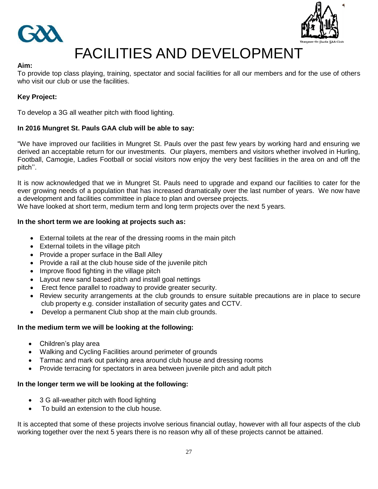



## FACILITIES AND DEVELOPMENT

### **Aim:**

To provide top class playing, training, spectator and social facilities for all our members and for the use of others who visit our club or use the facilities.

### **Key Project:**

To develop a 3G all weather pitch with flood lighting.

### **In 2016 Mungret St. Pauls GAA club will be able to say:**

"We have improved our facilities in Mungret St. Pauls over the past few years by working hard and ensuring we derived an acceptable return for our investments. Our players, members and visitors whether involved in Hurling, Football, Camogie, Ladies Football or social visitors now enjoy the very best facilities in the area on and off the pitch".

It is now acknowledged that we in Mungret St. Pauls need to upgrade and expand our facilities to cater for the ever growing needs of a population that has increased dramatically over the last number of years. We now have a development and facilities committee in place to plan and oversee projects.

We have looked at short term, medium term and long term projects over the next 5 years.

### **In the short term we are looking at projects such as:**

- External toilets at the rear of the dressing rooms in the main pitch
- External toilets in the village pitch
- Provide a proper surface in the Ball Alley
- Provide a rail at the club house side of the juvenile pitch
- Improve flood fighting in the village pitch
- Layout new sand based pitch and install goal nettings
- Erect fence parallel to roadway to provide greater security.
- Review security arrangements at the club grounds to ensure suitable precautions are in place to secure club property e.g. consider installation of security gates and CCTV.
- Develop a permanent Club shop at the main club grounds.

### **In the medium term we will be looking at the following:**

- Children's play area
- Walking and Cycling Facilities around perimeter of grounds
- Tarmac and mark out parking area around club house and dressing rooms
- Provide terracing for spectators in area between juvenile pitch and adult pitch

### **In the longer term we will be looking at the following:**

- 3 G all-weather pitch with flood lighting
- To build an extension to the club house.

It is accepted that some of these projects involve serious financial outlay, however with all four aspects of the club working together over the next 5 years there is no reason why all of these projects cannot be attained.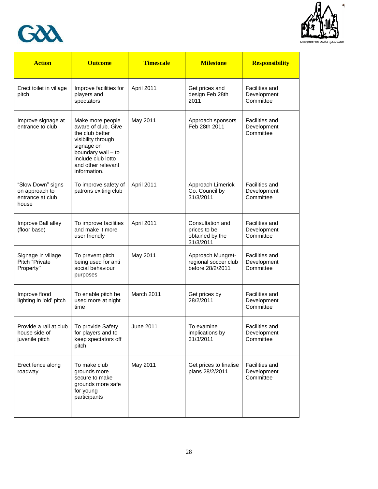



| <b>Action</b>                                                    | <b>Outcome</b>                                                                                                                                                                   | <b>Timescale</b> | <b>Milestone</b>                                                 | <b>Responsibility</b>                             |
|------------------------------------------------------------------|----------------------------------------------------------------------------------------------------------------------------------------------------------------------------------|------------------|------------------------------------------------------------------|---------------------------------------------------|
| Erect toilet in village<br>pitch                                 | Improve facilities for<br>players and<br>spectators                                                                                                                              | April 2011       | Get prices and<br>design Feb 28th<br>2011                        | Facilities and<br>Development<br>Committee        |
| Improve signage at<br>entrance to club                           | Make more people<br>aware of club. Give<br>the club better<br>visibility through<br>signage on<br>boundary wall - to<br>include club lotto<br>and other relevant<br>information. | May 2011         | Approach sponsors<br>Feb 28th 2011                               | <b>Facilities and</b><br>Development<br>Committee |
| "Slow Down" signs<br>on approach to<br>entrance at club<br>house | To improve safety of<br>patrons exiting club                                                                                                                                     | April 2011       | Approach Limerick<br>Co. Council by<br>31/3/2011                 | Facilities and<br>Development<br>Committee        |
| Improve Ball alley<br>(floor base)                               | To improve facilities<br>and make it more<br>user friendly                                                                                                                       | April 2011       | Consultation and<br>prices to be<br>obtained by the<br>31/3/2011 | <b>Facilities and</b><br>Development<br>Committee |
| Signage in village<br>Pitch "Private<br>Property"                | To prevent pitch<br>being used for anti<br>social behaviour<br>purposes                                                                                                          | May 2011         | Approach Mungret-<br>regional soccer club<br>before 28/2/2011    | Facilities and<br>Development<br>Committee        |
| Improve flood<br>lighting in 'old' pitch                         | To enable pitch be<br>used more at night<br>time                                                                                                                                 | March 2011       | Get prices by<br>28/2/2011                                       | Facilities and<br>Development<br>Committee        |
| Provide a rail at club<br>house side of<br>juvenile pitch        | To provide Safety<br>for players and to<br>keep spectators off<br>pitch                                                                                                          | June 2011        | To examine<br>implications by<br>31/3/2011                       | <b>Facilities and</b><br>Development<br>Committee |
| Erect fence along<br>roadway                                     | To make club<br>grounds more<br>secure to make<br>grounds more safe<br>for young<br>participants                                                                                 | May 2011         | Get prices to finalise<br>plans 28/2/2011                        | Facilities and<br>Development<br>Committee        |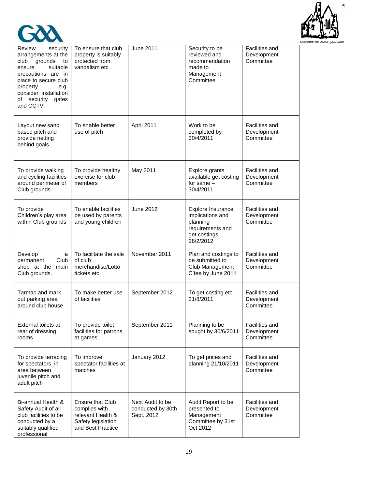



| Review<br>security<br>arrangements at the<br>grounds<br>club<br>to<br>suitable<br>ensure<br>precautions are in<br>place to secure club<br>property<br>e.g.<br>consider installation<br>of security<br>gates<br>and CCTV. | To ensure that club<br>property is suitably<br>protected from<br>vandalism etc.                          | <b>June 2011</b>                                    | Security to be<br>reviewed and<br>recommendation<br>made to<br>Management<br>Committee             | Facilities and<br>Development<br>Committee        |
|--------------------------------------------------------------------------------------------------------------------------------------------------------------------------------------------------------------------------|----------------------------------------------------------------------------------------------------------|-----------------------------------------------------|----------------------------------------------------------------------------------------------------|---------------------------------------------------|
| Layout new sand<br>based pitch and<br>provide netting<br>behind goals                                                                                                                                                    | To enable better<br>use of pitch                                                                         | April 2011                                          | Work to be<br>completed by<br>30/4/2011                                                            | <b>Facilities and</b><br>Development<br>Committee |
| To provide walking<br>and cycling facilities<br>around perimeter of<br>Club grounds                                                                                                                                      | To provide healthy<br>exercise for club<br>members                                                       | May 2011                                            | Explore grants<br>available get costing<br>for same $-$<br>30/4/2011                               | Facilities and<br>Development<br>Committee        |
| To provide<br>Children's play area<br>within Club grounds                                                                                                                                                                | To enable facilities<br>be used by parents<br>and young children                                         | June 2012                                           | Explore Insurance<br>implications and<br>planning<br>requirements and<br>get costings<br>28/2/2012 | Facilities and<br>Development<br>Committee        |
| Develop<br>a<br>Club<br>permanent<br>shop at the<br>main<br>Club grounds.                                                                                                                                                | To facilitate the sale<br>of club<br>merchandise/Lotto<br>tickets etc.                                   | November 2011                                       | Plan and costings to<br>be submitted to<br>Club Management<br>C'tee by June 2011                   | Facilities and<br>Development<br>Committee        |
| Tarmac and mark<br>out parking area<br>around club house                                                                                                                                                                 | To make better use<br>of facilities                                                                      | September 2012                                      | To get costing etc<br>31/8/2011                                                                    | Facilities and<br>Development<br>Committee        |
| External toilets at<br>rear of dressing<br>rooms                                                                                                                                                                         | To provide toilet<br>facilities for patrons<br>at games                                                  | September 2011                                      | Planning to be<br>sought by 30/6/2011                                                              | Facilities and<br>Development<br>Committee        |
| To provide terracing<br>for spectators in<br>area between<br>juvenile pitch and<br>adult pitch                                                                                                                           | To improve<br>spectator facilities at<br>matches                                                         | January 2012                                        | To get prices and<br>planning 21/10/2011                                                           | Facilities and<br>Development<br>Committee        |
| Bi-annual Health &<br>Safety Audit of all<br>club facilities to be<br>conducted by a<br>suitably qualified<br>professional                                                                                               | <b>Ensure that Club</b><br>complies with<br>relevant Health &<br>Safety legislation<br>and Best Practice | Next Audit to be<br>conducted by 30th<br>Sept. 2012 | Audit Report to be<br>presented to<br>Management<br>Committee by 31st<br>Oct 2012                  | <b>Facilities and</b><br>Development<br>Committee |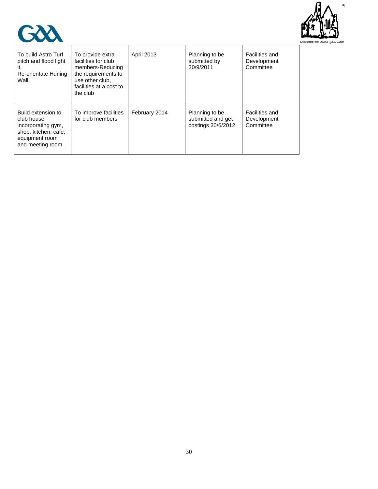



| To build Astro Turf<br>pitch and flood light<br>ıt.<br>Re-orientate Hurling<br>Wall.                                  | To provide extra<br>facilities for club<br>members-Reducing<br>the requirements to<br>use other club.<br>facilities at a cost to<br>the club | <b>April 2013</b> | Planning to be<br>submitted by<br>30/9/2011               | Facilities and<br>Development<br>Committee |
|-----------------------------------------------------------------------------------------------------------------------|----------------------------------------------------------------------------------------------------------------------------------------------|-------------------|-----------------------------------------------------------|--------------------------------------------|
| Build extension to<br>club house<br>incorporating gym,<br>shop, kitchen, cafe,<br>equipment room<br>and meeting room. | To improve facilities<br>for club members                                                                                                    | February 2014     | Planning to be<br>submitted and get<br>costings 30/6/2012 | Facilities and<br>Development<br>Committee |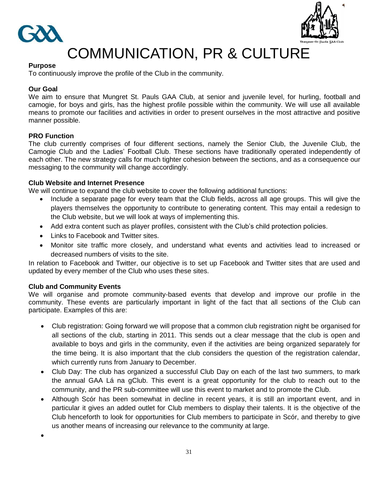



## COMMUNICATION, PR & CULTURE

### **Purpose**

To continuously improve the profile of the Club in the community.

### **Our Goal**

We aim to ensure that Mungret St. Pauls GAA Club, at senior and juvenile level, for hurling, football and camogie, for boys and girls, has the highest profile possible within the community. We will use all available means to promote our facilities and activities in order to present ourselves in the most attractive and positive manner possible.

### **PRO Function**

The club currently comprises of four different sections, namely the Senior Club, the Juvenile Club, the Camogie Club and the Ladies" Football Club. These sections have traditionally operated independently of each other. The new strategy calls for much tighter cohesion between the sections, and as a consequence our messaging to the community will change accordingly.

### **Club Website and Internet Presence**

We will continue to expand the club website to cover the following additional functions:

- Include a separate page for every team that the Club fields, across all age groups. This will give the players themselves the opportunity to contribute to generating content. This may entail a redesign to the Club website, but we will look at ways of implementing this.
- Add extra content such as player profiles, consistent with the Club"s child protection policies.
- Links to Facebook and Twitter sites.
- Monitor site traffic more closely, and understand what events and activities lead to increased or decreased numbers of visits to the site.

In relation to Facebook and Twitter, our objective is to set up Facebook and Twitter sites that are used and updated by every member of the Club who uses these sites.

### **Club and Community Events**

We will organise and promote community-based events that develop and improve our profile in the community. These events are particularly important in light of the fact that all sections of the Club can participate. Examples of this are:

- Club registration: Going forward we will propose that a common club registration night be organised for all sections of the club, starting in 2011. This sends out a clear message that the club is open and available to boys and girls in the community, even if the activities are being organized separately for the time being. It is also important that the club considers the question of the registration calendar, which currently runs from January to December.
- Club Day: The club has organized a successful Club Day on each of the last two summers, to mark the annual GAA Lá na gClub. This event is a great opportunity for the club to reach out to the community, and the PR sub-committee will use this event to market and to promote the Club.
- Although Scór has been somewhat in decline in recent years, it is still an important event, and in particular it gives an added outlet for Club members to display their talents. It is the objective of the Club henceforth to look for opportunities for Club members to participate in Scór, and thereby to give us another means of increasing our relevance to the community at large.

 $\bullet$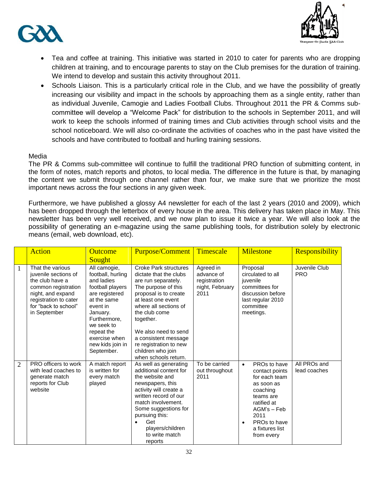



- Tea and coffee at training. This initiative was started in 2010 to cater for parents who are dropping children at training, and to encourage parents to stay on the Club premises for the duration of training. We intend to develop and sustain this activity throughout 2011.
- Schools Liaison. This is a particularly critical role in the Club, and we have the possibility of greatly increasing our visibility and impact in the schools by approaching them as a single entity, rather than as individual Juvenile, Camogie and Ladies Football Clubs. Throughout 2011 the PR & Comms subcommittee will develop a "Welcome Pack" for distribution to the schools in September 2011, and will work to keep the schools informed of training times and Club activities through school visits and the school noticeboard. We will also co-ordinate the activities of coaches who in the past have visited the schools and have contributed to football and hurling training sessions.

### Media

The PR & Comms sub-committee will continue to fulfill the traditional PRO function of submitting content, in the form of notes, match reports and photos, to local media. The difference in the future is that, by managing the content we submit through one channel rather than four, we make sure that we prioritize the most important news across the four sections in any given week.

Furthermore, we have published a glossy A4 newsletter for each of the last 2 years (2010 and 2009), which has been dropped through the letterbox of every house in the area. This delivery has taken place in May. This newsletter has been very well received, and we now plan to issue it twice a year. We will also look at the possibility of generating an e-magazine using the same publishing tools, for distribution solely by electronic means (email, web download, etc).

|                | <b>Action</b>                                                                                                                                                            | <b>Outcome</b><br><b>Sought</b>                                                                                                                                                                                             | Purpose/Comment                                                                                                                                                                                                                                                                                                                   | Timescale                                                          | <b>Milestone</b>                                                                                                                                                                                        | <b>Responsibility</b>        |
|----------------|--------------------------------------------------------------------------------------------------------------------------------------------------------------------------|-----------------------------------------------------------------------------------------------------------------------------------------------------------------------------------------------------------------------------|-----------------------------------------------------------------------------------------------------------------------------------------------------------------------------------------------------------------------------------------------------------------------------------------------------------------------------------|--------------------------------------------------------------------|---------------------------------------------------------------------------------------------------------------------------------------------------------------------------------------------------------|------------------------------|
| 1              | That the various<br>juvenile sections of<br>the club have a<br>common registration<br>night, and expand<br>registration to cater<br>for "back to school"<br>in September | All camogie,<br>football, hurling<br>and ladies<br>football players<br>are registered<br>at the same<br>event in<br>January.<br>Furthermore,<br>we seek to<br>repeat the<br>exercise when<br>new kids join in<br>September. | <b>Croke Park structures</b><br>dictate that the clubs<br>are run separately.<br>The purpose of this<br>proposal is to create<br>at least one event<br>where all sections of<br>the club come<br>together.<br>We also need to send<br>a consistent message<br>re registration to new<br>children who join<br>when schools return. | Agreed in<br>advance of<br>registration<br>night, February<br>2011 | Proposal<br>circulated to all<br>juvenile<br>committees for<br>discussion before<br>last regular 2010<br>committee<br>meetings.                                                                         | Juvenile Club<br><b>PRO</b>  |
| $\overline{2}$ | PRO officers to work<br>with lead coaches to<br>generate match<br>reports for Club<br>website                                                                            | A match report<br>is written for<br>every match<br>played                                                                                                                                                                   | As well as generating<br>additional content for<br>the website and<br>newspapers, this<br>activity will create a<br>written record of our<br>match involvement.<br>Some suggestions for<br>pursuing this:<br>Get<br>$\bullet$<br>players/children<br>to write match<br>reports                                                    | To be carried<br>out throughout<br>2011                            | PROs to have<br>$\bullet$<br>contact points<br>for each team<br>as soon as<br>coaching<br>teams are<br>ratified at<br>AGM's - Feb<br>2011<br>PROs to have<br>$\bullet$<br>a fixtures list<br>from every | All PROs and<br>lead coaches |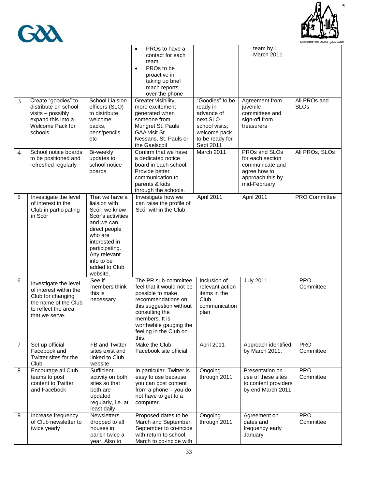



| 3              | Create "goodies" to<br>distribute on school                                                                                           | School Liaision<br>officers (SLO)                                                                                                                                                                             | PROs to have a<br>$\bullet$<br>contact for each<br>team<br>PROs to be<br>$\bullet$<br>proactive in<br>taking up brief<br>mach reports<br>over the phone<br>Greater visibility,<br>more excitement                       | "Goodies" to be<br>ready in                                                              | team by 1<br>March 2011<br>Agreement from<br>juvenile                                                    | All PROs and<br><b>SLOs</b> |
|----------------|---------------------------------------------------------------------------------------------------------------------------------------|---------------------------------------------------------------------------------------------------------------------------------------------------------------------------------------------------------------|-------------------------------------------------------------------------------------------------------------------------------------------------------------------------------------------------------------------------|------------------------------------------------------------------------------------------|----------------------------------------------------------------------------------------------------------|-----------------------------|
|                | visits - possibly<br>expand this into a<br>Welcome Pack for<br>schools                                                                | to distribute<br>welcome<br>packs,<br>pens/pencils<br>etc                                                                                                                                                     | generated when<br>someone from<br>Mungret St. Pauls<br>GAA visit St.<br>Nessans, St. Pauls or<br>the Gaelscoil                                                                                                          | advance of<br>next SLO<br>school visits,<br>welcome pack<br>to be ready for<br>Sept 2011 | committees and<br>sign-off from<br>treasurers                                                            |                             |
| 4              | School notice boards<br>to be positioned and<br>refreshed regularly                                                                   | Bi-weekly<br>updates to<br>school notice<br>boards                                                                                                                                                            | Confirm that we have<br>a dedicated notice<br>board in each school.<br>Provide better<br>communication to<br>parents & kids<br>through the schools.                                                                     | March 2011                                                                               | PROs and SLOs<br>for each section<br>communicate and<br>agree how to<br>approach this by<br>mid-February | All PROs, SLOs              |
| 5              | Investigate the level<br>of interest in the<br>Club in participating<br>in Scór                                                       | That we have a<br>liaision with<br>Scór, we know<br>Scór's activities<br>and we can<br>direct people<br>who are<br>interested in<br>participating.<br>Any relevant<br>info to be<br>added to Club<br>website. | Investigate how we<br>can raise the profile of<br>Scór within the Club.                                                                                                                                                 | April 2011                                                                               | April 2011                                                                                               | PRO Committee               |
| 6              | Investigate the level<br>of interest within the<br>Club for changing<br>the name of the Club<br>to reflect the area<br>that we serve. | See if<br>members think<br>this is<br>necessary                                                                                                                                                               | The PR sub-committee<br>feel that it would not be<br>possible to make<br>recommendations on<br>this suggestion without<br>consulting the<br>members. It is<br>worthwhile gauging the<br>feeling in the Club on<br>this. | Inclusion of<br>relevant action<br>items in the<br>Club<br>communication<br>plan         | <b>July 2011</b>                                                                                         | <b>PRO</b><br>Committee     |
| $\overline{7}$ | Set up official<br>Facebook and<br>Twitter sites for the<br>Club                                                                      | FB and Twitter<br>sites exist and<br>linked to Club<br>website                                                                                                                                                | Make the Club<br>Facebook site official.                                                                                                                                                                                | April 2011                                                                               | Approach identified<br>by March 2011.                                                                    | <b>PRO</b><br>Committee     |
| 8              | Encourage all Club<br>teams to post<br>content to Twitter<br>and Facebook                                                             | Sufficient<br>activity on both<br>sites so that<br>both are<br>updated<br>regularly, i.e. at<br>least daily                                                                                                   | In particular. Twitter is<br>easy to use because<br>you can post content<br>from a phone - you do<br>not have to get to a<br>computer.                                                                                  | Ongoing<br>through 2011                                                                  | Presentation on<br>use of these sites<br>to content providers<br>by end March 2011                       | <b>PRO</b><br>Committee     |
| 9              | Increase frequency<br>of Club newsletter to<br>twice yearly                                                                           | Newsletters<br>dropped to all<br>houses in<br>parish twice a<br>year. Also to                                                                                                                                 | Proposed dates to be<br>March and September.<br>September to co-incide<br>with return to school,<br>March to co-incide with                                                                                             | Ongoing<br>through 2011                                                                  | Agreement on<br>dates and<br>frequency early<br>January                                                  | <b>PRO</b><br>Committee     |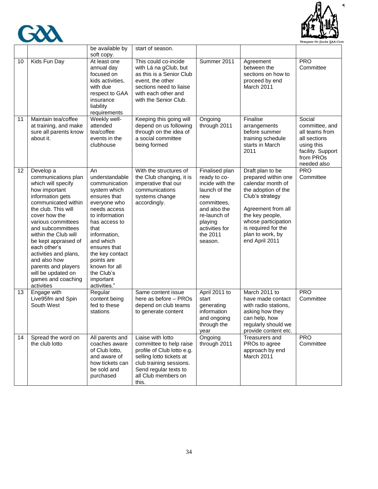



|    |                                                                                                                                                                                                                                                                                                                                                                                                 | be available by                                                                                                                                                                                                                                                                            | start of season.                                                                                                                                                                           |                                                                                                                                                                              |                                                                                                                                                                                                                                     |                                                                                                                           |
|----|-------------------------------------------------------------------------------------------------------------------------------------------------------------------------------------------------------------------------------------------------------------------------------------------------------------------------------------------------------------------------------------------------|--------------------------------------------------------------------------------------------------------------------------------------------------------------------------------------------------------------------------------------------------------------------------------------------|--------------------------------------------------------------------------------------------------------------------------------------------------------------------------------------------|------------------------------------------------------------------------------------------------------------------------------------------------------------------------------|-------------------------------------------------------------------------------------------------------------------------------------------------------------------------------------------------------------------------------------|---------------------------------------------------------------------------------------------------------------------------|
| 10 | Kids Fun Day                                                                                                                                                                                                                                                                                                                                                                                    | soft copy.<br>At least one<br>annual day<br>focused on<br>kids activities.<br>with due<br>respect to GAA<br>insurance<br>liability<br>requirements                                                                                                                                         | This could co-incide<br>with Lá na gClub, but<br>as this is a Senior Club<br>event, the other<br>sections need to liaise<br>with each other and<br>with the Senior Club.                   | Summer 2011                                                                                                                                                                  | Agreement<br>between the<br>sections on how to<br>proceed by end<br>March 2011                                                                                                                                                      | <b>PRO</b><br>Committee                                                                                                   |
| 11 | Maintain tea/coffee<br>at training, and make<br>sure all parents know<br>about it.                                                                                                                                                                                                                                                                                                              | Weekly well-<br>attended<br>tea/coffee<br>events in the<br>clubhouse                                                                                                                                                                                                                       | Keeping this going will<br>depend on us following<br>through on the idea of<br>a social committee<br>being formed                                                                          | Ongoing<br>through 2011                                                                                                                                                      | Finalise<br>arrangements<br>before summer<br>training schedule<br>starts in March<br>2011                                                                                                                                           | Social<br>committee, and<br>all teams from<br>all sections<br>using this<br>facility. Support<br>from PROs<br>needed also |
| 12 | Develop a<br>communications plan<br>which will specify<br>how important<br>information gets<br>communicated within<br>the club. This will<br>cover how the<br>various committees<br>and subcommittees<br>within the Club will<br>be kept appraised of<br>each other's<br>activities and plans,<br>and also how<br>parents and players<br>will be updated on<br>games and coaching<br>activities | An<br>understandable<br>communication<br>system which<br>ensures that<br>everyone who<br>needs access<br>to information<br>has access to<br>that<br>information,<br>and which<br>ensures that<br>the key contact<br>points are<br>known for all<br>the Club's<br>important<br>activities." | With the structures of<br>the Club changing, it is<br>imperative that our<br>communications<br>systems change<br>accordingly.                                                              | Finalised plan<br>ready to co-<br>incide with the<br>launch of the<br>new<br>committees.<br>and also the<br>re-launch of<br>playing<br>activities for<br>the 2011<br>season. | Draft plan to be<br>prepared within one<br>calendar month of<br>the adoption of the<br>Club's strategy<br>Agreement from all<br>the key people,<br>whose participation<br>is required for the<br>plan to work, by<br>end April 2011 | <b>PRO</b><br>Committee                                                                                                   |
| 13 | Engage with<br>Live95fm and Spin<br>South West                                                                                                                                                                                                                                                                                                                                                  | Regular<br>content being<br>fed to these<br>stations                                                                                                                                                                                                                                       | Same content issue<br>here as before - PROs<br>depend on club teams<br>to generate content                                                                                                 | April 2011 to<br>start<br>generating<br>information<br>and ongoing<br>through the<br>year                                                                                    | March 2011 to<br>have made contact<br>with radio stations,<br>asking how they<br>can help, how<br>regularly should we<br>provide content etc.                                                                                       | <b>PRO</b><br>Committee                                                                                                   |
| 14 | Spread the word on<br>the club lotto                                                                                                                                                                                                                                                                                                                                                            | All parents and<br>coaches aware<br>of Club lotto,<br>and aware of<br>how tickets can<br>be sold and<br>purchased                                                                                                                                                                          | Liaise with lotto<br>committee to help raise<br>profile of Club lotto e.g.<br>selling lotto tickets at<br>club training sessions.<br>Send regular texts to<br>all Club members on<br>this. | Ongoing<br>through 2011                                                                                                                                                      | Treasurers and<br>PROs to agree<br>approach by end<br>March 2011                                                                                                                                                                    | <b>PRO</b><br>Committee                                                                                                   |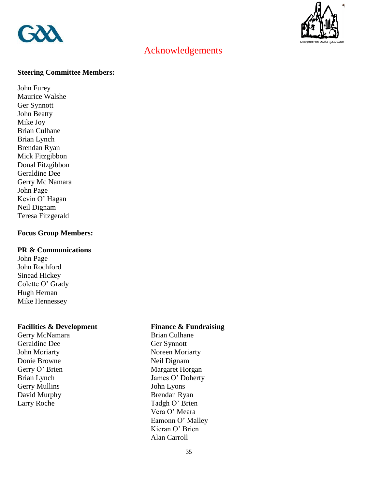



### Acknowledgements

### **Steering Committee Members:**

John Furey Maurice Walshe Ger Synnott John Beatty Mike Joy Brian Culhane Brian Lynch Brendan Ryan Mick Fitzgibbon Donal Fitzgibbon Geraldine Dee Gerry Mc Namara John Page Kevin O' Hagan Neil Dignam Teresa Fitzgerald

### **Focus Group Members:**

### **PR & Communications**

John Page John Rochford Sinead Hickey Colette O' Grady Hugh Hernan Mike Hennessey

### **Facilities & Development Finance & Fundraising**

Geraldine Dee Ger Synnott Donie Browne Neil Dignam Gerry Mullins<br>
David Murphy<br>
David Murphy<br>
Brendan Ryan David Murphy

Gerry McNamara Brian Culhane John Moriarty Noreen Moriarty Gerry O' Brien Margaret Horgan Brian Lynch James O' Doherty Larry Roche Tadgh O' Brien Vera O' Meara Eamonn O' Malley Kieran O' Brien Alan Carroll